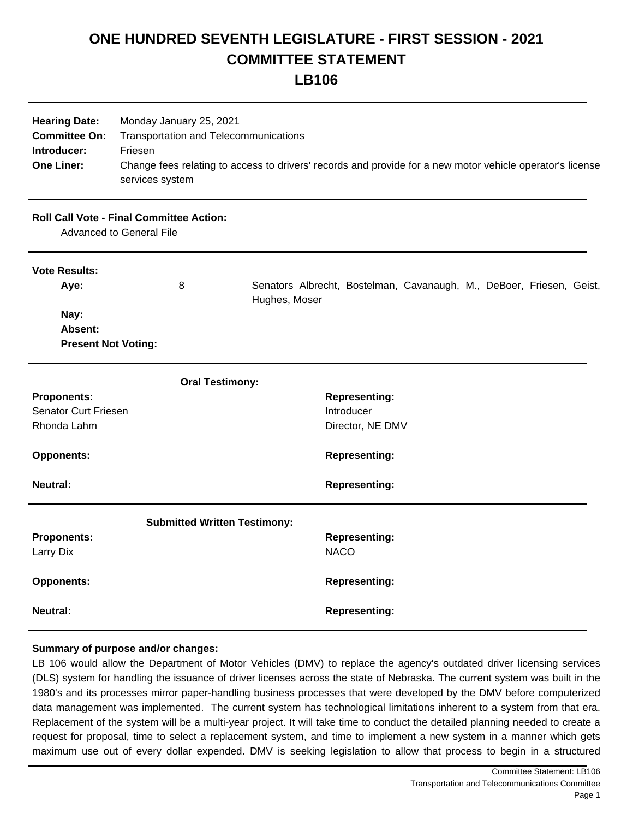## **ONE HUNDRED SEVENTH LEGISLATURE - FIRST SESSION - 2021 COMMITTEE STATEMENT**

## **LB106**

| <b>Hearing Date:</b><br><b>Committee On:</b><br>Introducer:<br><b>One Liner:</b>   | Monday January 25, 2021<br>Transportation and Telecommunications<br>Friesen<br>services system | Change fees relating to access to drivers' records and provide for a new motor vehicle operator's license |
|------------------------------------------------------------------------------------|------------------------------------------------------------------------------------------------|-----------------------------------------------------------------------------------------------------------|
| <b>Roll Call Vote - Final Committee Action:</b><br><b>Advanced to General File</b> |                                                                                                |                                                                                                           |
| <b>Vote Results:</b><br>Aye:                                                       | 8                                                                                              | Senators Albrecht, Bostelman, Cavanaugh, M., DeBoer, Friesen, Geist,<br>Hughes, Moser                     |
| Nay:<br>Absent:<br><b>Present Not Voting:</b>                                      |                                                                                                |                                                                                                           |
|                                                                                    | <b>Oral Testimony:</b>                                                                         |                                                                                                           |
| <b>Proponents:</b>                                                                 |                                                                                                | <b>Representing:</b>                                                                                      |
| <b>Senator Curt Friesen</b>                                                        |                                                                                                | Introducer                                                                                                |
| Rhonda Lahm                                                                        |                                                                                                | Director, NE DMV                                                                                          |
| <b>Opponents:</b>                                                                  |                                                                                                | <b>Representing:</b>                                                                                      |
| Neutral:                                                                           |                                                                                                | <b>Representing:</b>                                                                                      |
| <b>Submitted Written Testimony:</b>                                                |                                                                                                |                                                                                                           |
| <b>Proponents:</b><br>Larry Dix                                                    |                                                                                                | <b>Representing:</b><br><b>NACO</b>                                                                       |
| <b>Opponents:</b>                                                                  |                                                                                                | <b>Representing:</b>                                                                                      |
| <b>Neutral:</b>                                                                    |                                                                                                | <b>Representing:</b>                                                                                      |

## **Summary of purpose and/or changes:**

LB 106 would allow the Department of Motor Vehicles (DMV) to replace the agency's outdated driver licensing services (DLS) system for handling the issuance of driver licenses across the state of Nebraska. The current system was built in the 1980's and its processes mirror paper-handling business processes that were developed by the DMV before computerized data management was implemented. The current system has technological limitations inherent to a system from that era. Replacement of the system will be a multi-year project. It will take time to conduct the detailed planning needed to create a request for proposal, time to select a replacement system, and time to implement a new system in a manner which gets maximum use out of every dollar expended. DMV is seeking legislation to allow that process to begin in a structured